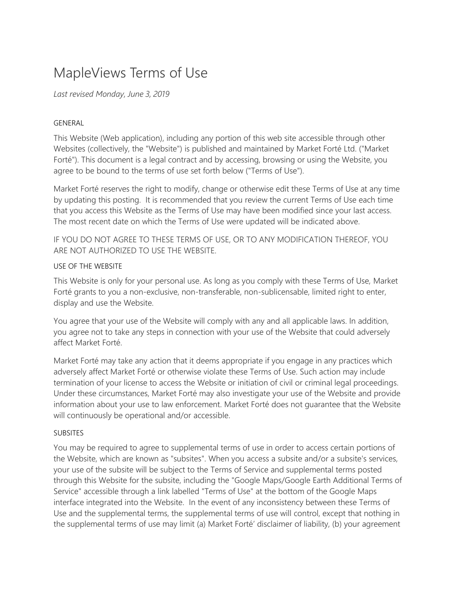# MapleViews Terms of Use

*Last revised Monday, June 3, 2019*

## GENERAL

This Website (Web application), including any portion of this web site accessible through other Websites (collectively, the "Website") is published and maintained by Market Forté Ltd. ("Market Forté"). This document is a legal contract and by accessing, browsing or using the Website, you agree to be bound to the terms of use set forth below ("Terms of Use").

Market Forté reserves the right to modify, change or otherwise edit these Terms of Use at any time by updating this posting. It is recommended that you review the current Terms of Use each time that you access this Website as the Terms of Use may have been modified since your last access. The most recent date on which the Terms of Use were updated will be indicated above.

IF YOU DO NOT AGREE TO THESE TERMS OF USE, OR TO ANY MODIFICATION THEREOF, YOU ARE NOT AUTHORIZED TO USE THE WEBSITE.

## USE OF THE WEBSITE

This Website is only for your personal use. As long as you comply with these Terms of Use, Market Forté grants to you a non-exclusive, non-transferable, non-sublicensable, limited right to enter, display and use the Website.

You agree that your use of the Website will comply with any and all applicable laws. In addition, you agree not to take any steps in connection with your use of the Website that could adversely affect Market Forté.

Market Forté may take any action that it deems appropriate if you engage in any practices which adversely affect Market Forté or otherwise violate these Terms of Use. Such action may include termination of your license to access the Website or initiation of civil or criminal legal proceedings. Under these circumstances, Market Forté may also investigate your use of the Website and provide information about your use to law enforcement. Market Forté does not guarantee that the Website will continuously be operational and/or accessible.

#### **SUBSITES**

You may be required to agree to supplemental terms of use in order to access certain portions of the Website, which are known as "subsites". When you access a subsite and/or a subsite's services, your use of the subsite will be subject to the Terms of Service and supplemental terms posted through this Website for the subsite, including the "Google Maps/Google Earth Additional Terms of Service" accessible through a link labelled "Terms of Use" at the bottom of the Google Maps interface integrated into the Website. In the event of any inconsistency between these Terms of Use and the supplemental terms, the supplemental terms of use will control, except that nothing in the supplemental terms of use may limit (a) Market Forté' disclaimer of liability, (b) your agreement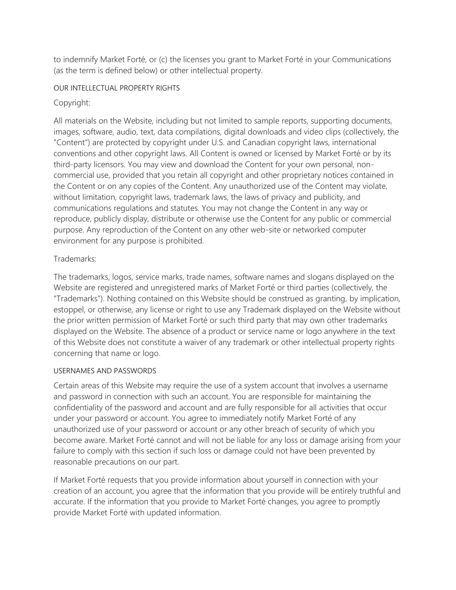to indemnify Market Forté, or (c) the licenses you grant to Market Forté in your Communications (as the term is defined below) or other intellectual property.

## OUR INTELLECTUAL PROPERTY RIGHTS

# Copyright:

All materials on the Website, including but not limited to sample reports, supporting documents, images, software, audio, text, data compilations, digital downloads and video clips (collectively, the "Content") are protected by copyright under U.S. and Canadian copyright laws, international conventions and other copyright laws. All Content is owned or licensed by Market Forté or by its third-party licensors. You may view and download the Content for your own personal, noncommercial use, provided that you retain all copyright and other proprietary notices contained in the Content or on any copies of the Content. Any unauthorized use of the Content may violate, without limitation, copyright laws, trademark laws, the laws of privacy and publicity, and communications regulations and statutes. You may not change the Content in any way or reproduce, publicly display, distribute or otherwise use the Content for any public or commercial purpose. Any reproduction of the Content on any other web-site or networked computer environment for any purpose is prohibited.

# Trademarks:

The trademarks, logos, service marks, trade names, software names and slogans displayed on the Website are registered and unregistered marks of Market Forté or third parties (collectively, the "Trademarks"). Nothing contained on this Website should be construed as granting, by implication, estoppel, or otherwise, any license or right to use any Trademark displayed on the Website without the prior written permission of Market Forté or such third party that may own other trademarks displayed on the Website. The absence of a product or service name or logo anywhere in the text of this Website does not constitute a waiver of any trademark or other intellectual property rights concerning that name or logo.

# USERNAMES AND PASSWORDS

Certain areas of this Website may require the use of a system account that involves a username and password in connection with such an account. You are responsible for maintaining the confidentiality of the password and account and are fully responsible for all activities that occur under your password or account. You agree to immediately notify Market Forté of any unauthorized use of your password or account or any other breach of security of which you become aware. Market Forté cannot and will not be liable for any loss or damage arising from your failure to comply with this section if such loss or damage could not have been prevented by reasonable precautions on our part.

If Market Forté requests that you provide information about yourself in connection with your creation of an account, you agree that the information that you provide will be entirely truthful and accurate. If the information that you provide to Market Forté changes, you agree to promptly provide Market Forté with updated information.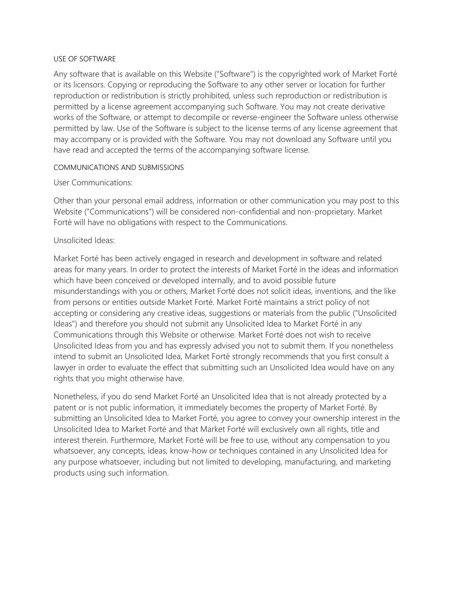#### USE OF SOFTWARE

Any software that is available on this Website ("Software") is the copyrighted work of Market Forté or its licensors. Copying or reproducing the Software to any other server or location for further reproduction or redistribution is strictly prohibited, unless such reproduction or redistribution is permitted by a license agreement accompanying such Software. You may not create derivative works of the Software, or attempt to decompile or reverse-engineer the Software unless otherwise permitted by law. Use of the Software is subject to the license terms of any license agreement that may accompany or is provided with the Software. You may not download any Software until you have read and accepted the terms of the accompanying software license.

#### COMMUNICATIONS AND SUBMISSIONS

## User Communications:

Other than your personal email address, information or other communication you may post to this Website ("Communications") will be considered non-confidential and non-proprietary. Market Forté will have no obligations with respect to the Communications.

## Unsolicited Ideas:

Market Forté has been actively engaged in research and development in software and related areas for many years. In order to protect the interests of Market Forté in the ideas and information which have been conceived or developed internally, and to avoid possible future misunderstandings with you or others, Market Forté does not solicit ideas, inventions, and the like from persons or entities outside Market Forté. Market Forté maintains a strict policy of not accepting or considering any creative ideas, suggestions or materials from the public ("Unsolicited Ideas") and therefore you should not submit any Unsolicited Idea to Market Forté in any Communications through this Website or otherwise. Market Forté does not wish to receive Unsolicited Ideas from you and has expressly advised you not to submit them. If you nonetheless intend to submit an Unsolicited Idea, Market Forté strongly recommends that you first consult a lawyer in order to evaluate the effect that submitting such an Unsolicited Idea would have on any rights that you might otherwise have.

Nonetheless, if you do send Market Forté an Unsolicited Idea that is not already protected by a patent or is not public information, it immediately becomes the property of Market Forté. By submitting an Unsolicited Idea to Market Forté, you agree to convey your ownership interest in the Unsolicited Idea to Market Forté and that Market Forté will exclusively own all rights, title and interest therein. Furthermore, Market Forté will be free to use, without any compensation to you whatsoever, any concepts, ideas, know-how or techniques contained in any Unsolicited Idea for any purpose whatsoever, including but not limited to developing, manufacturing, and marketing products using such information.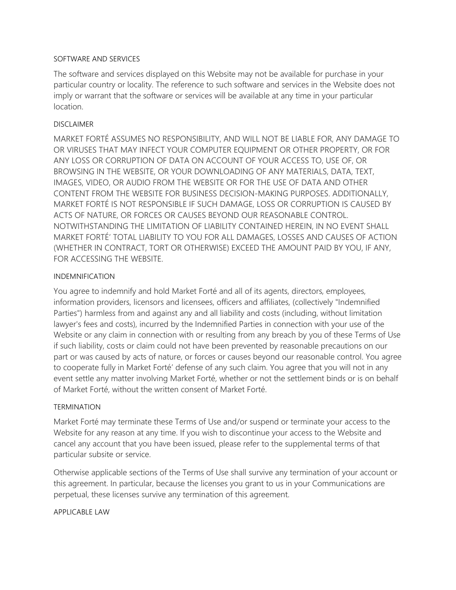#### SOFTWARE AND SERVICES

The software and services displayed on this Website may not be available for purchase in your particular country or locality. The reference to such software and services in the Website does not imply or warrant that the software or services will be available at any time in your particular location.

#### DISCLAIMER

MARKET FORTÉ ASSUMES NO RESPONSIBILITY, AND WILL NOT BE LIABLE FOR, ANY DAMAGE TO OR VIRUSES THAT MAY INFECT YOUR COMPUTER EQUIPMENT OR OTHER PROPERTY, OR FOR ANY LOSS OR CORRUPTION OF DATA ON ACCOUNT OF YOUR ACCESS TO, USE OF, OR BROWSING IN THE WEBSITE, OR YOUR DOWNLOADING OF ANY MATERIALS, DATA, TEXT, IMAGES, VIDEO, OR AUDIO FROM THE WEBSITE OR FOR THE USE OF DATA AND OTHER CONTENT FROM THE WEBSITE FOR BUSINESS DECISION-MAKING PURPOSES. ADDITIONALLY, MARKET FORTÉ IS NOT RESPONSIBLE IF SUCH DAMAGE, LOSS OR CORRUPTION IS CAUSED BY ACTS OF NATURE, OR FORCES OR CAUSES BEYOND OUR REASONABLE CONTROL. NOTWITHSTANDING THE LIMITATION OF LIABILITY CONTAINED HEREIN, IN NO EVENT SHALL MARKET FORTÉ' TOTAL LIABILITY TO YOU FOR ALL DAMAGES, LOSSES AND CAUSES OF ACTION (WHETHER IN CONTRACT, TORT OR OTHERWISE) EXCEED THE AMOUNT PAID BY YOU, IF ANY, FOR ACCESSING THE WEBSITE.

#### INDEMNIFICATION

You agree to indemnify and hold Market Forté and all of its agents, directors, employees, information providers, licensors and licensees, officers and affiliates, (collectively "Indemnified Parties") harmless from and against any and all liability and costs (including, without limitation lawyer's fees and costs), incurred by the Indemnified Parties in connection with your use of the Website or any claim in connection with or resulting from any breach by you of these Terms of Use if such liability, costs or claim could not have been prevented by reasonable precautions on our part or was caused by acts of nature, or forces or causes beyond our reasonable control. You agree to cooperate fully in Market Forté' defense of any such claim. You agree that you will not in any event settle any matter involving Market Forté, whether or not the settlement binds or is on behalf of Market Forté, without the written consent of Market Forté.

#### TERMINATION

Market Forté may terminate these Terms of Use and/or suspend or terminate your access to the Website for any reason at any time. If you wish to discontinue your access to the Website and cancel any account that you have been issued, please refer to the supplemental terms of that particular subsite or service.

Otherwise applicable sections of the Terms of Use shall survive any termination of your account or this agreement. In particular, because the licenses you grant to us in your Communications are perpetual, these licenses survive any termination of this agreement.

#### APPLICABLE LAW